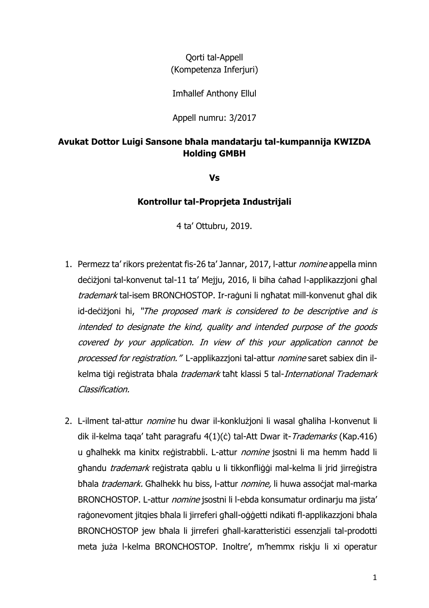# Qorti tal-Appell (Kompetenza Inferjuri)

Imħallef Anthony Ellul

### Appell numru: 3/2017

# **Avukat Dottor Luigi Sansone bħala mandatarju tal-kumpannija KWIZDA Holding GMBH**

**Vs**

### **Kontrollur tal-Proprjeta Industrijali**

4 ta' Ottubru, 2019.

- 1. Permezz ta' rikors prezentat fis-26 ta' Jannar, 2017, l-attur *nomine* appella minn deċiżjoni tal-konvenut tal-11 ta' Mejju, 2016, li biha ċaħad l-applikazzjoni għal trademark tal-isem BRONCHOSTOP. Ir-raġuni li ngħatat mill-konvenut għal dik id-decizjoni hi, "The proposed mark is considered to be descriptive and is intended to designate the kind, quality and intended purpose of the goods covered by your application. In view of this your application cannot be processed for registration." L-applikazzjoni tal-attur nomine saret sabiex din ilkelma tiġi reġistrata bħala trademark taħt klassi 5 tal-International Trademark Classification.
- 2. L-ilment tal-attur *nomine* hu dwar il-konklużjoni li wasal għaliha l-konvenut li dik il-kelma taqa' taħt paragrafu 4(1)(c) tal-Att Dwar it-Trademarks (Kap.416) u għalhekk ma kinitx reģistrabbli. L-attur *nomine* jsostni li ma hemm ħadd li għandu *trademark* reģistrata gablu u li tikkonfliģģi mal-kelma li jrid jirreģistra bħala trademark. Għalhekk hu biss, l-attur nomine, li huwa assoċjat mal-marka BRONCHOSTOP. L-attur nomine jsostni li l-ebda konsumatur ordinarju ma jista' raġonevoment jitqies bħala li jirreferi għall-oġġetti ndikati fl-applikazzjoni bħala BRONCHOSTOP jew bħala li jirreferi għall-karatteristici essenzjali tal-prodotti meta juża l-kelma BRONCHOSTOP. Inoltre', m'hemmx riskju li xi operatur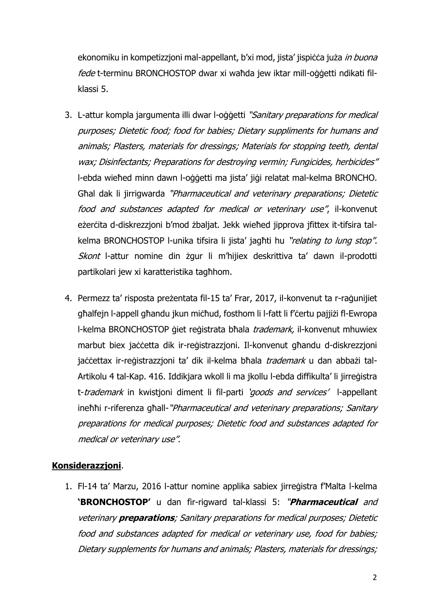ekonomiku in kompetizzjoni mal-appellant, b'xi mod, jista' jispiċċa juża in buona fede t-terminu BRONCHOSTOP dwar xi waħda jew iktar mill-oġġetti ndikati filklassi 5.

- 3. L-attur kompla jargumenta illi dwar l-oġġetti "Sanitary preparations for medical purposes; Dietetic food; food for babies; Dietary suppliments for humans and animals; Plasters, materials for dressings; Materials for stopping teeth, dental wax; Disinfectants; Preparations for destroying vermin; Fungicides, herbicides" l-ebda wieħed minn dawn l-oġġetti ma jista' jiġi relatat mal-kelma BRONCHO. Għal dak li jirrigwarda "Pharmaceutical and veterinary preparations; Dietetic food and substances adapted for medical or veterinary use", il-konvenut eżerċita d-diskrezzjoni b'mod żbaljat. Jekk wieħed jipprova jfittex it-tifsira talkelma BRONCHOSTOP I-unika tifsira li jista' jaghti hu "relating to lung stop". Skont l-attur nomine din żgur li m'hijiex deskrittiva ta' dawn il-prodotti partikolari jew xi karatteristika tagħhom.
- 4. Permezz ta' risposta preżentata fil-15 ta' Frar, 2017, il-konvenut ta r-raġunijiet għalfejn l-appell għandu jkun miċħud, fosthom li l-fatt li f'ċertu pajjiżi fl-Ewropa l-kelma BRONCHOSTOP ġiet reġistrata bħala trademark, il-konvenut mhuwiex marbut biex jaċċetta dik ir-reģistrazzjoni. Il-konvenut għandu d-diskrezzjoni jaċċettax ir-reġistrazzjoni ta' dik il-kelma bħala trademark u dan abbażi tal-Artikolu 4 tal-Kap. 416. Iddikjara wkoll li ma jkollu l-ebda diffikulta' li jirreġistra t-*trademark* in kwistjoni diment li fil-parti 'goods and services' l-appellant ineħħi r-riferenza għall-"Pharmaceutical and veterinary preparations; Sanitary preparations for medical purposes; Dietetic food and substances adapted for medical or veterinary use".

# **Konsiderazzjoni**.

1. Fl-14 ta' Marzu, 2016 l-attur nomine applika sabiex jirreġistra f'Malta l-kelma **'BRONCHOSTOP'** u dan fir-rigward tal-klassi 5: "**Pharmaceutical** and veterinary **preparations**; Sanitary preparations for medical purposes; Dietetic food and substances adapted for medical or veterinary use, food for babies; Dietary supplements for humans and animals; Plasters, materials for dressings;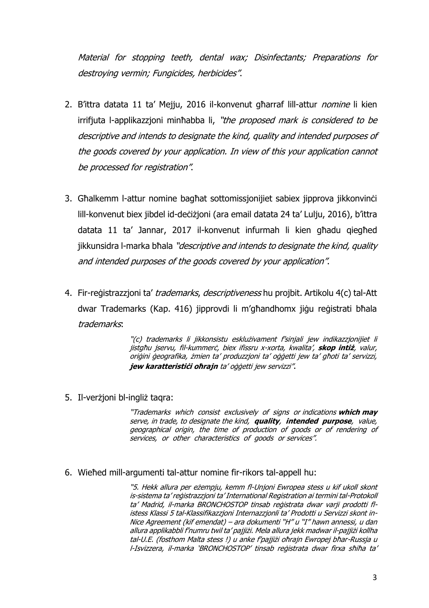Material for stopping teeth, dental wax; Disinfectants; Preparations for destroying vermin; Fungicides, herbicides".

- 2. B'ittra datata 11 ta' Mejju, 2016 il-konvenut għarraf lill-attur nomine li kien irrifjuta l-applikazzjoni minħabba li, "the proposed mark is considered to be descriptive and intends to designate the kind, quality and intended purposes of the goods covered by your application. In view of this your application cannot be processed for registration".
- 3. Għalkemm l-attur nomine bagħat sottomissjonijiet sabiex jipprova jikkonvinċi lill-konvenut biex jibdel id-deċiżjoni (ara email datata 24 ta' Lulju, 2016), b'ittra datata 11 ta' Jannar, 2017 il-konvenut infurmah li kien għadu qiegħed jikkunsidra l-marka bħala "*descriptive and intends to designate the kind, quality* and intended purposes of the goods covered by your application".
- 4. Fir-reģistrazzjoni ta' *trademarks, descriptiveness* hu projbit. Artikolu 4(c) tal-Att dwar Trademarks (Kap. 416) jipprovdi li m'għandhomx jiġu reġistrati bħala trademarks:

"(c) trademarks li jikkonsistu esklużivament f'sinjali jew indikazzjonijiet li jistgħu jservu, fil-kummerċ, biex ifissru x-xorta, kwalita', **skop intiż**, valur, oriġini ġeografika, żmien ta' produzzjoni ta' oġġetti jew ta' għoti ta' servizzi, **jew karatteristiċ<sup>i</sup> oħrajn** ta' oġġetti jew servizzi".

5. Il-verżjoni bl-ingliż taqra:

"Trademarks which consist exclusively of signs or indications **which may** serve, in trade, to designate the kind, **quality**, **intended purpose**, value, geographical origin, the time of production of goods or of rendering of services, or other characteristics of goods or services".

6. Wieħed mill-argumenti tal-attur nomine fir-rikors tal-appell hu:

"5. Hekk allura per eżempju, kemm fl-Unjoni Ewropea stess u kif ukoll skont is-sistema ta' reġistrazzjoni ta' International Registration ai termini tal-Protokoll ta' Madrid, il-marka BRONCHOSTOP tinsab reġistrata dwar varji prodotti flistess Klassi 5 tal-Klassifikazzjoni Internazzjonli ta' Prodotti u Servizzi skont in-Nice Agreement (kif emendat) – ara dokumenti "H" u "I" hawn annessi, u dan allura applikabbli f'numru twil ta' pajjiżi. Mela allura jekk madwar il-pajjiżi kollha tal-U.E. (fosthom Malta stess !) u anke f'pajjiżi oħrajn Ewropej bħar-Russja u l-Isvizzera, il-marka 'BRONCHOSTOP' tinsab reġistrata dwar firxa sħiħa ta'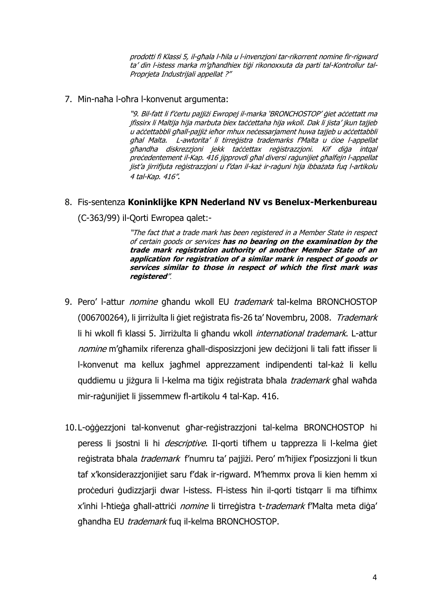prodotti fi Klassi 5, il-għala l-ħila u l-invenzjoni tar-rikorrent nomine fir-rigward ta' din l-istess marka m'għandhiex tiġi rikonoxxuta da parti tal-Kontrollur tal-Proprjeta Industrijali appellat ?"

#### 7. Min-naħa l-oħra l-konvenut argumenta:

"9. Bil-fatt li f'certu pajjiżi Ewropej il-marka 'BRONCHOSTOP' giet accettatt ma jfissirx li Maltija hija marbuta biex taċċettaha hija wkoll. Dak li jista' jkun tajjeb u aċċettabbli għall-pajjiż ieħor mhux neċessarjament huwa tajjeb u aċċettabbli għal Malta. L-awtorita' li tirreġistra trademarks f'Malta u ċioe l-appellat għandha diskrezzjoni jekk taċċettax reġistrazzjoni. Kif diġa intqal preċedentement il-Kap. 416 jipprovdi għal diversi raġunijiet għalfejn l-appellat jist'a jirrifjuta reġistrazzjoni u f'dan il-każ ir-raġuni hija ibbażata fuq l-artikolu 4 tal-Kap. 416".

### 8. Fis-sentenza **Koninklijke KPN Nederland NV vs Benelux-Merkenbureau**

(C-363/99) il-Qorti Ewropea qalet:-

"The fact that a trade mark has been registered in a Member State in respect of certain goods or services **has no bearing on the examination by the trade mark registration authority of another Member State of an application for registration of a similar mark in respect of goods or services similar to those in respect of which the first mark was registered**".

- 9. Pero' l-attur *nomine* għandu wkoll EU *trademark* tal-kelma BRONCHOSTOP (006700264), li jirriżulta li giet reģistrata fis-26 ta' Novembru, 2008. Trademark li hi wkoll fi klassi 5. Jirriżulta li għandu wkoll *international trademark*. L-attur nomine m'għamilx riferenza għall-disposizzjoni jew deċiżjoni li tali fatt ifisser li l-konvenut ma kellux jagħmel apprezzament indipendenti tal-każ li kellu quddiemu u jiżgura li l-kelma ma tiġix reġistrata bħala trademark għal waħda mir-raġunijiet li jissemmew fl-artikolu 4 tal-Kap. 416.
- 10.L-oġġezzjoni tal-konvenut għar-reġistrazzjoni tal-kelma BRONCHOSTOP hi peress li jsostni li hi *descriptive*. Il-qorti tifhem u tapprezza li l-kelma giet reģistrata bħala *trademark* f'numru ta' pajjiżi. Pero' m'hijiex f'posizzjoni li tkun taf x'konsiderazzjonijiet saru f'dak ir-rigward. M'hemmx prova li kien hemm xi proceduri qudizzjarji dwar l-istess. Fl-istess ħin il-qorti tistqarr li ma tifhimx x'inhi l-ħtieġa għall-attriċi *nomine* li tirreġistra t-trademark f'Malta meta diġa' għandha EU trademark fuq il-kelma BRONCHOSTOP.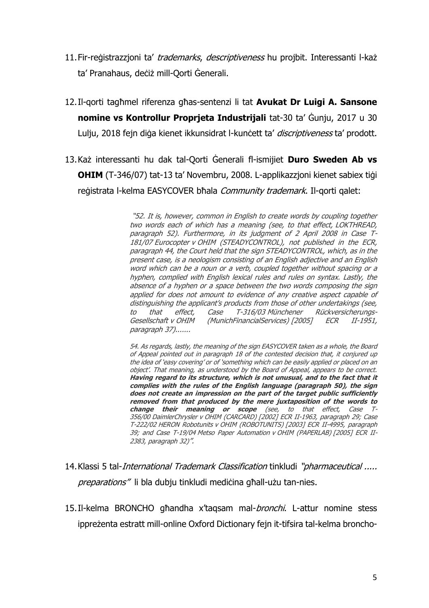- 11. Fir-reģistrazzjoni ta' trademarks, descriptiveness hu projbit. Interessanti l-każ ta' Pranahaus, deċiż mill-Qorti Ġenerali.
- 12.Il-qorti tagħmel riferenza għas-sentenzi li tat **Avukat Dr Luigi A. Sansone nomine vs Kontrollur Proprjeta Industrijali** tat-30 ta' Ġunju, 2017 u 30 Lulju, 2018 fejn diġa kienet ikkunsidrat l-kunċett ta' discriptiveness ta' prodott.
- 13.Każ interessanti hu dak tal-Qorti Ġenerali fl-ismijiet **Duro Sweden Ab vs OHIM** (T-346/07) tat-13 ta' Novembru, 2008. L-applikazzjoni kienet sabiex tiġi registrata l-kelma EASYCOVER bħala Community trademark. Il-gorti galet:

"52. It is, however, common in English to create words by coupling together two words each of which has a meaning (see, to that effect, LOKTHREAD, paragraph 52). Furthermore, in its judgment of 2 April 2008 in Case T-181/07 Eurocopter <sup>v</sup> OHIM (STEADYCONTROL), not published in the ECR, paragraph 44, the Court held that the sign STEADYCONTROL, which, as in the present case, is a neologism consisting of an English adjective and an English word which can be a noun or a verb, coupled together without spacing or a hyphen, complied with English lexical rules and rules on syntax. Lastly, the absence of a hyphen or a space between the two words composing the sign applied for does not amount to evidence of any creative aspect capable of distinguishing the applicant's products from those of other undertakings (see, to that effect, Case T-316/03 Münchener Rückversicherungs-<br>Gesellschaft v OHIM (MunichFinancialServices) [2005] ECR II-1951, (MunichFinancialServices) [2005] ECR II-1951, paragraph 37).......

54. As regards, lastly, the meaning of the sign EASYCOVER taken as a whole, the Board of Appeal pointed out in paragraph 18 of the contested decision that, it conjured up the idea of 'easy covering' or of 'something which can be easily applied or placed on an object'. That meaning, as understood by the Board of Appeal, appears to be correct. **Having regard to its structure, which is not unusual, and to the fact that it complies with the rules of the English language (paragraph 50), the sign does not create an impression on the part of the target public sufficiently removed from that produced by the mere juxtaposition of the words to change their meaning or scope** (see, to that effect, Case T-356/00 DaimlerChrysler <sup>v</sup> OHIM (CARCARD) [2002] ECR II-1963, paragraph 29; Case T-222/02 HERON Robotunits <sup>v</sup> OHIM (ROBOTUNITS) [2003] ECR II-4995, paragraph 39; and Case T-19/04 Metso Paper Automation <sup>v</sup> OHIM (PAPERLAB) [2005] ECR II-2383, paragraph 32)".

- 14. Klassi 5 tal-*International Trademark Classification* tinkludi "*pharmaceutical .....* preparations" li bla dubju tinkludi medičina għall-użu tan-nies.
- 15.Il-kelma BRONCHO għandha x'taqsam mal-*bronchi*. L-attur nomine stess ippreżenta estratt mill-online Oxford Dictionary fejn it-tifsira tal-kelma broncho-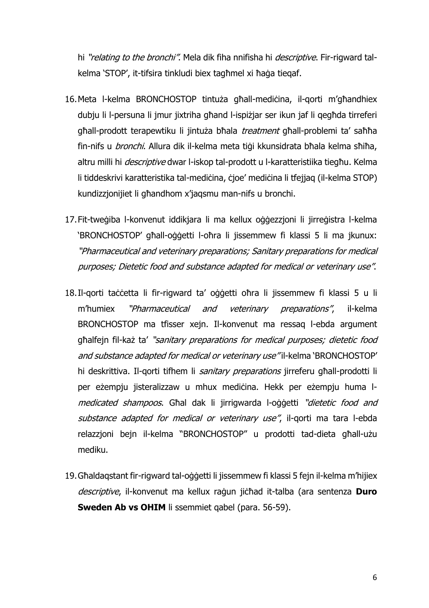hi "relating to the bronchi". Mela dik fiha nnifisha hi descriptive. Fir-rigward talkelma 'STOP', it-tifsira tinkludi biex tagħmel xi ħaġa tieqaf.

- 16.Meta l-kelma BRONCHOSTOP tintuża għall-mediċina, il-qorti m'għandhiex dubju li l-persuna li jmur jixtriha għand l-ispiżjar ser ikun jaf li qegħda tirreferi għall-prodott terapewtiku li jintuża bħala *treatment* għall-problemi ta' saħħa fin-nifs u *bronchi*. Allura dik il-kelma meta tiġi kkunsidrata bħala kelma sħiħa, altru milli hi *descriptive* dwar l-iskop tal-prodott u l-karatteristiika tiegħu. Kelma li tiddeskrivi karatteristika tal-medićina, čjoe' medićina li tfejjaq (il-kelma STOP) kundizzjonijiet li għandhom x'jaqsmu man-nifs u bronchi.
- 17.Fit-tweġiba l-konvenut iddikjara li ma kellux oġġezzjoni li jirreġistra l-kelma 'BRONCHOSTOP' għall-oġġetti l-oħra li jissemmew fi klassi 5 li ma jkunux: "Pharmaceutical and veterinary preparations; Sanitary preparations for medical purposes; Dietetic food and substance adapted for medical or veterinary use".
- 18.Il-qorti taċċetta li fir-rigward ta' oġġetti oħra li jissemmew fi klassi 5 u li m'humiex "Pharmaceutical and veterinary preparations", il-kelma BRONCHOSTOP ma tfisser xejn. Il-konvenut ma ressaq l-ebda argument ghalfejn fil-każ ta' "sanitary preparations for medical purposes; dietetic food and substance adapted for medical or veterinary use "il-kelma 'BRONCHOSTOP' hi deskrittiva. Il-qorti tifhem li sanitary preparations jirreferu għall-prodotti li per eżempju jisteralizzaw u mhux medićina. Hekk per eżempju huma Imedicated shampoos. Għal dak li jirrigwarda l-oġġetti "dietetic food and substance adapted for medical or veterinary use", il-qorti ma tara l-ebda relazzjoni bejn il-kelma "BRONCHOSTOP" u prodotti tad-dieta għall-użu mediku.
- 19.Għaldaqstant fir-rigward tal-oġġetti li jissemmew fi klassi 5 fejn il-kelma m'hijiex descriptive, il-konvenut ma kellux raġun jiċħad it-talba (ara sentenza **Duro Sweden Ab vs OHIM** li ssemmiet qabel (para. 56-59).